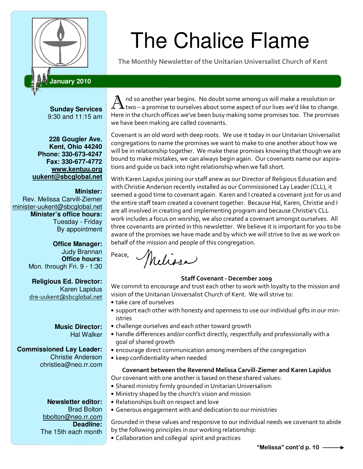

# The Chalice Flame

The Monthly Newsletter of the Unitarian Universalist Church of Kent

# **January 2010**

**Sunday Services**  9:30 and 11:15 am

**228 Gougler Ave. Kent, Ohio 44240 Phone: 330-673-4247 Fax: 330-677-4772 www.kentuu.org uukent@sbcglobal.net**

#### **Minister:**

Rev. Melissa Carvill-Ziemer minister-uukent@sbcglobal.net **Minister's office hours:**  Tuesday - Friday By appointment

> **Office Manager:** Judy Brannan **Office hours:** Mon. through Fri. 9 - 1:30

> **Religious Ed. Director:**  Karen Lapidus dre-uukent@sbcglobal.net

#### **Music Director:**  Hal Walker

# **Commissioned Lay Leader:**

Christie Anderson christiea@neo.rr.com

> **Newsletter editor:**  Brad Bolton bbolton@neo.rr.com **Deadline:**  The 15th each month

A nd so another year begins. No doubt some among us will make a resolution or  ${\bf \Lambda}$ two – a promise to ourselves about some aspect of our lives we'd like to change. Here in the church offices we've been busy making some promises too. The promises we have been making are called covenants.

Covenant is an old word with deep roots. We use it today in our Unitarian Universalist congregations to name the promises we want to make to one another about how we will be in relationship together. We make these promises knowing that though we are bound to make mistakes, we can always begin again. Our covenants name our aspirations and guide us back into right relationship when we fall short.

With Karen Lapidus joining our staff anew as our Director of Religious Education and with Christie Anderson recently installed as our Commissioned Lay Leader (CLL), it seemed a good time to covenant again. Karen and I created a covenant just for us and the entire staff team created a covenant together. Because Hal, Karen, Christie and I are all involved in creating and implementing program and because Christie's CLL work includes a focus on worship, we also created a covenant amongst ourselves. All three covenants are printed in this newsletter. We believe it is important for you to be aware of the promises we have made and by which we will strive to live as we work on behalf of the mission and people of this congregation.

Peace, Melissa

# Staff Covenant - December 2009

We commit to encourage and trust each other to work with loyalty to the mission and vision of the Unitarian Universalist Church of Kent. We will strive to:

- take care of ourselves
- support each other with honesty and openness to use our individual gifts in our ministries
- challenge ourselves and each other toward growth
- handle differences and/or conflict directly, respectfully and professionally with a goal of shared growth
- encourage direct communication among members of the congregation
- keep confidentiality when needed

# Covenant between the Reverend Melissa Carvill-Ziemer and Karen Lapidus

- Our covenant with one another is based on these shared values:
- Shared ministry firmly grounded in Unitarian Universalism
- Ministry shaped by the church's vision and mission
- Relationships built on respect and love
- Generous engagement with and dedication to our ministries

Grounded in these values and responsive to our individual needs we covenant to abide by the following principles in our working relationship:

• Collaboration and collegial spirit and practices

"Melissa" cont'd p. 10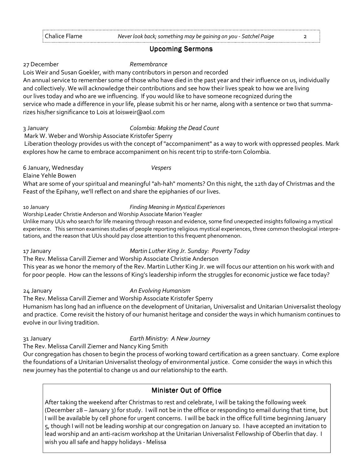#### **Upcoming Sermons**

#### 27 December Remembrance

Lois Weir and Susan Goekler, with many contributors in person and recorded

An annual service to remember some of those who have died in the past year and their influence on us, individually and collectively. We will acknowledge their contributions and see how their lives speak to how we are living our lives today and who are we influencing. If you would like to have someone recognized during the service who made a difference in your life, please submit his or her name, along with a sentence or two that summarizes his/her significance to Lois at loisweir@aol.com

#### 3 January Colombia: Making the Dead Count

Mark W. Weber and Worship Associate Kristofer Sperry

 Liberation theology provides us with the concept of "accompaniment" as a way to work with oppressed peoples. Mark explores how he came to embrace accompaniment on his recent trip to strife-torn Colombia.

6 January, Wednesday **Vespers** 

Elaine Yehle Bowen

What are some of your spiritual and meaningful "ah-hah" moments? On this night, the 12th day of Christmas and the Feast of the Epihany, we'll reflect on and share the epiphanies of our lives.

#### 10 January Finding Meaning in Mystical Experiences

Worship Leader Christie Anderson and Worship Associate Marion Yeagler

Unlike many UUs who search for life meaning through reason and evidence, some find unexpected insights following a mystical experience. This sermon examines studies of people reporting religious mystical experiences, three common theological interpretations, and the reason that UUs should pay close attention to this frequent phenomenon.

#### 17 January Martin Luther King Jr. Sunday: Poverty Today

The Rev. Melissa Carvill Ziemer and Worship Associate Christie Anderson

This year as we honor the memory of the Rev. Martin Luther King Jr. we will focus our attention on his work with and for poor people. How can the lessons of King's leadership inform the struggles for economic justice we face today?

# 24 January **An Evolving Humanism**

The Rev. Melissa Carvill Ziemer and Worship Associate Kristofer Sperry

Humanism has long had an influence on the development of Unitarian, Universalist and Unitarian Universalist theology and practice. Come revisit the history of our humanist heritage and consider the ways in which humanism continues to evolve in our living tradition.

# 31 January Earth Ministry: A New Journey

The Rev. Melissa Carvill Ziemer and Nancy King Smith

Our congregation has chosen to begin the process of working toward certification as a green sanctuary. Come explore the foundations of a Unitarian Universalist theology of environmental justice. Come consider the ways in which this new journey has the potential to change us and our relationship to the earth.

# **Minister Out of Office**

After taking the weekend after Christmas to rest and celebrate, I will be taking the following week (December 28 – January 3) for study. I will not be in the office or responding to email during that time, but I will be available by cell phone for urgent concerns. I will be back in the office full time beginning January 5, though I will not be leading worship at our congregation on January 10. I have accepted an invitation to lead worship and an anti-racism workshop at the Unitarian Universalist Fellowship of Oberlin that day. I wish you all safe and happy holidays - Melissa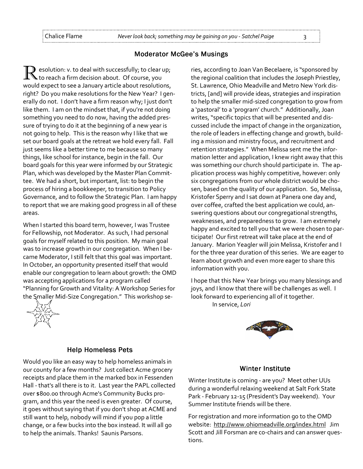#### **Moderator McGee's Musings**

R esolution: v. to deal with successfully; to clear up; to reach a firm decision about. Of course, you would expect to see a January article about resolutions, right? Do you make resolutions for the New Year? I generally do not. I don't have a firm reason why; I just don't like them. I am on the mindset that, if you're not doing something you need to do now, having the added pressure of trying to do it at the beginning of a new year is not going to help. This is the reason why I like that we set our board goals at the retreat we hold every fall. Fall just seems like a better time to me because so many things, like school for instance, begin in the fall. Our board goals for this year were informed by our Strategic Plan, which was developed by the Master Plan Committee. We had a short, but important, list: to begin the process of hiring a bookkeeper, to transition to Policy Governance, and to follow the Strategic Plan. I am happy to report that we are making good progress in all of these areas.

When I started this board term, however, I was Trustee for Fellowship, not Moderator. As such, I had personal goals for myself related to this position. My main goal was to increase growth in our congregation. When I became Moderator, I still felt that this goal was important. In October, an opportunity presented itself that would enable our congregation to learn about growth: the OMD was accepting applications for a program called "Planning for Growth and Vitality: A Workshop Series for the Smaller Mid-Size Congregation." This workshop se-



#### ries, according to Joan Van Becelaere, is "sponsored by the regional coalition that includes the Joseph Priestley, St. Lawrence, Ohio Meadville and Metro New York districts, [and] will provide ideas, strategies and inspiration to help the smaller mid-sized congregation to grow from a 'pastoral' to a 'program' church." Additionally, Joan writes, "specific topics that will be presented and discussed include the impact of change in the organization, the role of leaders in effecting change and growth, building a mission and ministry focus, and recruitment and retention strategies." When Melissa sent me the information letter and application, I knew right away that this was something our church should participate in. The application process was highly competitive, however: only six congregations from our whole district would be chosen, based on the quality of our application. So, Melissa, Kristofer Sperry and I sat down at Panera one day and, over coffee, crafted the best application we could, answering questions about our congregational strengths, weaknesses, and preparedness to grow. I am extremely happy and excited to tell you that we were chosen to participate! Our first retreat will take place at the end of January. Marion Yeagler will join Melissa, Kristofer and I for the three year duration of this series. We are eager to learn about growth and even more eager to share this information with you.

I hope that this New Year brings you many blessings and joys, and I know that there will be challenges as well. I look forward to experiencing all of it together. In service, Lori



#### **Help Homeless Pets**

Would you like an easy way to help homeless animals in our county for a few months? Just collect Acme grocery receipts and place them in the marked box in Fessenden Hall - that's all there is to it. Last year the PAPL collected over \$800.00 through Acme's Community Bucks program, and this year the need is even greater. Of course, it goes without saying that if you don't shop at ACME and still want to help, nobody will mind if you pop a little change, or a few bucks into the box instead. It will all go to help the animals. Thanks! Saunis Parsons.

#### Winter Institute

Winter Institute is coming - are you? Meet other UUs during a wonderful relaxing weekend at Salt Fork State Park - February 12-15 (President's Day weekend). Your Summer Institute friends will be there.

For registration and more information go to the OMD website: http://www.ohiomeadville.org/index.html Jim Scott and Jill Forsman are co-chairs and can answer questions.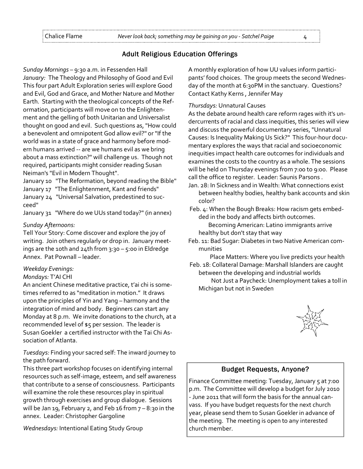# Adult Religious Education Offerings

Sunday Mornings – 9:30 a.m. in Fessenden Hall January: The Theology and Philosophy of Good and Evil This four part Adult Exploration series will explore Good and Evil, God and Grace, and Mother Nature and Mother Earth. Starting with the theological concepts of the Reformation, participants will move on to the Enlightenment and the gelling of both Unitarian and Universalist thought on good and evil. Such questions as, "How could a benevolent and omnipotent God allow evil?" or "If the world was in a state of grace and harmony before modern humans arrived -- are we humans evil as we bring about a mass extinction?" will challenge us. Though not required, participants might consider reading Susan Neiman's "Evil in Modern Thought".

January 10 "The Reformation, beyond reading the Bible" January 17 "The Enlightenment, Kant and friends" January 24 "Universal Salvation, predestined to succeed"

January 31 "Where do we UUs stand today?" (in annex)

#### Sunday Afternoons:

Tell Your Story: Come discover and explore the joy of writing. Join others regularly or drop in. January meetings are the 10th and 24th from  $3:30 - 5:00$  in Eldredge Annex. Pat Pownall – leader.

#### Weekday Evenings:

#### Mondays: T'AI CHI

An ancient Chinese meditative practice, t'ai chi is sometimes referred to as "meditation in motion." It draws upon the principles of Yin and Yang – harmony and the integration of mind and body. Beginners can start any Monday at 8 p.m. We invite donations to the church, at a recommended level of \$5 per session. The leader is Susan Goekler a certified instructor with the Tai Chi Association of Atlanta.

Tuesdays: Finding your sacred self: The inward journey to the path forward.

This three part workshop focuses on identifying internal resources such as self-image, esteem, and self awareness that contribute to a sense of consciousness. Participants will examine the role these resources play in spiritual growth through exercises and group dialogue. Sessions will be Jan 19, February 2, and Feb 16 from  $7 - 8:30$  in the annex. Leader: Christopher Gargoline

Wednesdays: Intentional Eating Study Group

A monthly exploration of how UU values inform participants' food choices. The group meets the second Wednesday of the month at 6:30PM in the sanctuary. Questions? Contact Kathy Kerns , Jennifer May

#### Thursdays: Unnatural Causes

As the debate around health care reform rages with it's undercurrents of racial and class inequities, this series will view and discuss the powerful documentary series, "Unnatural Causes: Is Inequality Making Us Sick?" This four-hour documentary explores the ways that racial and socioeconomic inequities impact health care outcomes for individuals and examines the costs to the country as a whole. The sessions will be held on Thursday evenings from 7:00 to 9:00. Please call the office to register. Leader: Saunis Parsons .

Jan. 28: In Sickness and in Wealth: What connections exist between healthy bodies, healthy bank accounts and skin color?

 Feb. 4: When the Bough Breaks: How racism gets embedded in the body and affects birth outcomes.

Becoming American: Latino immigrants arrive healthy but don't stay that way

Feb. 11: Bad Sugar: Diabetes in two Native American communities

Place Matters: Where you live predicts your health

 Feb. 18: Collateral Damage: Marshall Islanders are caught between the developing and industrial worlds

 Not Just a Paycheck: Unemployment takes a toll in Michigan but not in Sweden



# **Budget Requests, Anyone?**

Finance Committee meeting: Tuesday, January 5 at 7:00 p.m. The Committee will develop a budget for July 2010 - June 2011 that will form the basis for the annual canvass. If you have budget requests for the next church year, please send them to Susan Goekler in advance of the meeting. The meeting is open to any interested church member.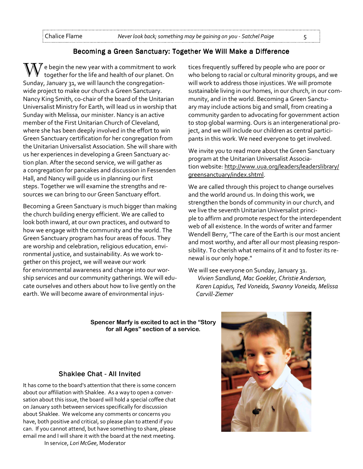#### Becoming a Green Sanctuary: Together We Will Make a Difference

 $\chi$   $\gamma$  e begin the new year with a commitment to work together for the life and health of our planet. On Sunday, January 31, we will launch the congregationwide project to make our church a Green Sanctuary. Nancy King Smith, co-chair of the board of the Unitarian Universalist Ministry for Earth, will lead us in worship that Sunday with Melissa, our minister. Nancy is an active member of the First Unitarian Church of Cleveland, where she has been deeply involved in the effort to win Green Sanctuary certification for her congregation from the Unitarian Universalist Association. She will share with us her experiences in developing a Green Sanctuary action plan. After the second service, we will gather as a congregation for pancakes and discussion in Fessenden Hall, and Nancy will guide us in planning our first steps. Together we will examine the strengths and resources we can bring to our Green Sanctuary effort.

Becoming a Green Sanctuary is much bigger than making the church building energy efficient. We are called to look both inward, at our own practices, and outward to how we engage with the community and the world. The Green Sanctuary program has four areas of focus. They are worship and celebration, religious education, environmental justice, and sustainability. As we work together on this project, we will weave our work for environmental awareness and change into our worship services and our community gatherings. We will educate ourselves and others about how to live gently on the earth. We will become aware of environmental injustices frequently suffered by people who are poor or who belong to racial or cultural minority groups, and we will work to address those injustices. We will promote sustainable living in our homes, in our church, in our community, and in the world. Becoming a Green Sanctuary may include actions big and small, from creating a community garden to advocating for government action to stop global warming. Ours is an intergenerational project, and we will include our children as central participants in this work. We need everyone to get involved.

We invite you to read more about the Green Sanctuary program at the Unitarian Universalist Association website: http://www.uua.org/leaders/leaderslibrary/ greensanctuary/index.shtml.

We are called through this project to change ourselves and the world around us. In doing this work, we strengthen the bonds of community in our church, and we live the seventh Unitarian Universalist principle to affirm and promote respect for the interdependent web of all existence. In the words of writer and farmer Wendell Berry, "The care of the Earth is our most ancient and most worthy, and after all our most pleasing responsibility. To cherish what remains of it and to foster its renewal is our only hope."

We will see everyone on Sunday, January 31. Vivien Sandlund, Mac Goekler, Christie Anderson, Karen Lapidus, Ted Voneida, Swanny Voneida, Melissa Carvill-Ziemer

Spencer Marfy is excited to act in the "Story for all Ages" section of a service.

#### Shaklee Chat - All Invited

It has come to the board's attention that there is some concern about our affiliation with Shaklee. As a way to open a conversation about this issue, the board will hold a special coffee chat on January 10th between services specifically for discussion about Shaklee. We welcome any comments or concerns you have, both positive and critical, so please plan to attend if you can. If you cannot attend, but have something to share, please email me and I will share it with the board at the next meeting.

In service, Lori McGee, Moderator

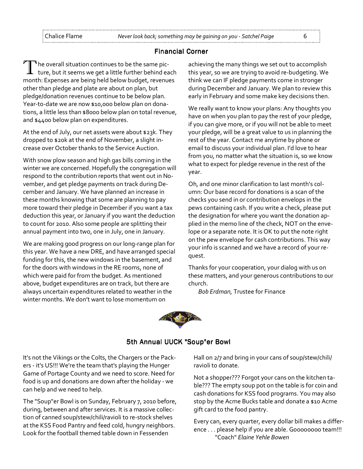#### **Financial Corner**

The overall situation continues to be the same picture, but it seems we get a little further behind each month: Expenses are being held below budget, revenues other than pledge and plate are about on plan, but pledge/donation revenues continue to be below plan. Year-to-date we are now \$10,000 below plan on donations, a little less than \$8000 below plan on total revenue, and \$4400 below plan on expenditures.

At the end of July, our net assets were about \$23k. They dropped to \$20k at the end of November, a slight increase over October thanks to the Service Auction.

With snow plow season and high gas bills coming in the winter we are concerned. Hopefully the congregation will respond to the contribution reports that went out in November, and get pledge payments on track during December and January. We have planned an increase in these months knowing that some are planning to pay more toward their pledge in December if you want a tax deduction this year, or January if you want the deduction to count for 2010. Also some people are splitting their annual payment into two, one in July, one in January.

We are making good progress on our long-range plan for this year. We have a new DRE, and have arranged special funding for this, the new windows in the basement, and for the doors with windows in the RE rooms, none of which were paid for from the budget. As mentioned above, budget expenditures are on track, but there are always uncertain expenditures related to weather in the winter months. We don't want to lose momentum on

achieving the many things we set out to accomplish this year, so we are trying to avoid re-budgeting. We think we can IF pledge payments come in stronger during December and January. We plan to review this early in February and some make key decisions then.

We really want to know your plans: Any thoughts you have on when you plan to pay the rest of your pledge, if you can give more, or if you will not be able to meet your pledge, will be a great value to us in planning the rest of the year. Contact me anytime by phone or email to discuss your individual plan. I'd love to hear from you, no matter what the situation is, so we know what to expect for pledge revenue in the rest of the year.

Oh, and one minor clarification to last month's column: Our base record for donations is a scan of the checks you send in or contribution envelops in the pews containing cash. If you write a check, please put the designation for where you want the donation applied in the memo line of the check, NOT on the envelope or a separate note. It is OK to put the note right on the pew envelope for cash contributions. This way your info is scanned and we have a record of your request.

Thanks for your cooperation, your dialog with us on these matters, and your generous contributions to our church.

Bob Erdman, Trustee for Finance



# 5th Annual UUCK "Soup"er Bowl

It's not the Vikings or the Colts, the Chargers or the Packers - it's US!!! We're the team that's playing the Hunger Game of Portage County and we need to score. Need for food is up and donations are down after the holiday - we can help and we need to help.

The "Soup"er Bowl is on Sunday, February 7, 2010 before, during, between and after services. It is a massive collection of canned soup/stew/chili/ravioli to re-stock shelves at the KSS Food Pantry and feed cold, hungry neighbors. Look for the football themed table down in Fessenden

Hall on 2/7 and bring in your cans of soup/stew/chili/ ravioli to donate.

Not a shopper??? Forgot your cans on the kitchen table??? The empty soup pot on the table is for coin and cash donations for KSS food programs. You may also stop by the Acme Bucks table and donate a \$10 Acme gift card to the food pantry.

Every can, every quarter, every dollar bill makes a difference . . . please help if you are able. Goooooooo team!!! "Coach" Elaine Yehle Bowen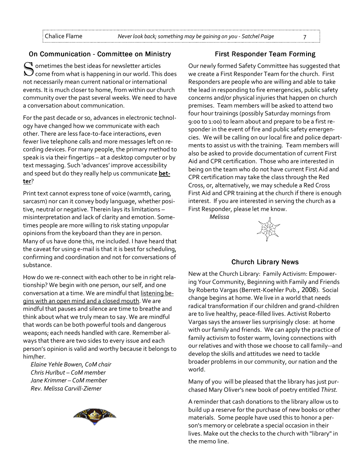# On Communication - Committee on Ministry

 $\mathbf{\mathbf{\mathbf{C}}}$  ometimes the best ideas for newsletter articles  $\cal Y$  come from what is happening in our world. This does not necessarily mean current national or international events. It is much closer to home, from within our church community over the past several weeks. We need to have a conversation about communication.

For the past decade or so, advances in electronic technology have changed how we communicate with each other. There are less face-to-face interactions, even fewer live telephone calls and more messages left on recording devices. For many people, the primary method to speak is via their fingertips – at a desktop computer or by text messaging. Such 'advances' improve accessibility and speed but do they really help us communicate better?

Print text cannot express tone of voice (warmth, caring, sarcasm) nor can it convey body language, whether positive, neutral or negative. Therein lays its limitations – misinterpretation and lack of clarity and emotion. Sometimes people are more willing to risk stating unpopular opinions from the keyboard than they are in person. Many of us have done this, me included. I have heard that the caveat for using e-mail is that it is best for scheduling, confirming and coordination and not for conversations of substance.

How do we re-connect with each other to be in right relationship? We begin with one person, our self, and one conversation at a time. We are mindful that listening begins with an open mind and a closed mouth. We are mindful that pauses and silence are time to breathe and think about what we truly mean to say. We are mindful that words can be both powerful tools and dangerous weapons; each needs handled with care. Remember always that there are two sides to every issue and each person's opinion is valid and worthy because it belongs to him/her.

Elaine Yehle Bowen, CoM chair Chris Hurlbut – CoM member Jane Krimmer – CoM member Rev. Melissa Carvill-Ziemer



# **First Responder Team Forming**

Our newly formed Safety Committee has suggested that we create a First Responder Team for the church. First Responders are people who are willing and able to take the lead in responding to fire emergencies, public safety concerns and/or physical injuries that happen on church premises. Team members will be asked to attend two four hour trainings (possibly Saturday mornings from 9:00 to 1:00) to learn about and prepare to be a first responder in the event of fire and public safety emergencies. We will be calling on our local fire and police departments to assist us with the training. Team members will also be asked to provide documentation of current First Aid and CPR certification. Those who are interested in being on the team who do not have current First Aid and CPR certification may take the class through the Red Cross, or, alternatively, we may schedule a Red Cross First Aid and CPR training at the church if there is enough interest. If you are interested in serving the church as a First Responder, please let me know.

Melissa



# **Church Library News**

New at the Church Library: Family Activism: Empowering Your Community, Beginning with Family and Friends by Roberto Vargas (Berrett-Koehler Pub., 2008). Social change begins at home. We live in a world that needs radical transformation if our children and grand-children are to live healthy, peace-filled lives. Activist Roberto Vargas says the answer lies surprisingly close: at home with our family and friends. We can apply the practice of family activism to foster warm, loving connections with our relatives and with those we choose to call family--and develop the skills and attitudes we need to tackle broader problems in our community, our nation and the world.

Many of you will be pleased that the library has just purchased Mary Oliver's new book of poetry entitled Thirst.

A reminder that cash donations to the library allow us to build up a reserve for the purchase of new books or other materials. Some people have used this to honor a person's memory or celebrate a special occasion in their lives. Make out the checks to the church with "library" in the memo line.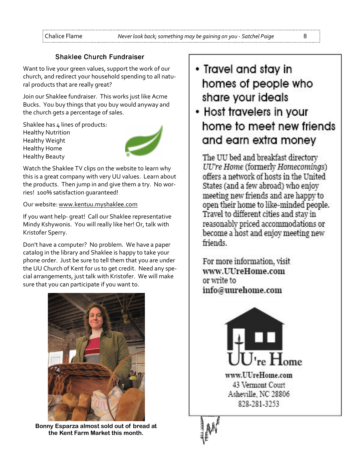# Shaklee Church Fundraiser

Want to live your green values, support the work of our church, and redirect your household spending to all natural products that are really great?

Join our Shaklee fundraiser. This works just like Acme Bucks. You buy things that you buy would anyway and the church gets a percentage of sales.

Shaklee has 4 lines of products: Healthy Nutrition Healthy Weight Healthy Home Healthy Beauty



Watch the Shaklee TV clips on the website to learn why this is a great company with very UU values. Learn about the products. Then jump in and give them a try. No worries! 100% satisfaction guaranteed!

#### Our website: www.kentuu.myshaklee.com

If you want help- great! Call our Shaklee representative Mindy Kshywonis. You will really like her! Or, talk with Kristofer Sperry.

Don't have a computer? No problem. We have a paper catalog in the library and Shaklee is happy to take your phone order. Just be sure to tell them that you are under the UU Church of Kent for us to get credit. Need any special arrangements, just talk with Kristofer. We will make sure that you can participate if you want to.



Bonny Esparza almost sold out of bread at the Kent Farm Market this month.

- Travel and stay in homes of people who share your ideals
- Host travelers in your home to meet new friends and earn extra money

The UU bed and breakfast directory UU're Home (formerly Homecomings) offers a network of hosts in the United States (and a few abroad) who enjoy meeting new friends and are happy to open their home to like-minded people. Travel to different cities and stay in reasonably priced accommodations or become a host and enjoy meeting new friends.

For more information, visit www.UUreHome.com or write to info@uurehome.com



828-281-3253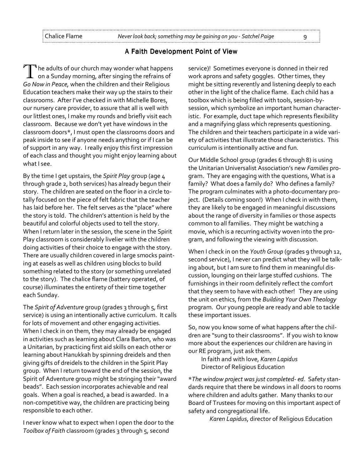#### A Faith Development Point of View

 $^\blacktriangleleft$  he adults of our church may wonder what happens  $\bm{\bot}$  on a Sunday morning, after singing the refrains of Go Now in Peace, when the children and their Religious Education teachers make their way up the stairs to their classrooms. After I've checked in with Michelle Bores, our nursery care provider, to assure that all is well with our littlest ones, I make my rounds and briefly visit each classroom. Because we don't yet have windows in the classroom doors\*, I must open the classrooms doors and peak inside to see if anyone needs anything or if I can be of support in any way. I really enjoy this first impression of each class and thought you might enjoy learning about what I see.

By the time I get upstairs, the Spirit Play group (age 4 through grade 2, both services) has already begun their story. The children are seated on the floor in a circle totally focused on the piece of felt fabric that the teacher has laid before her. The felt serves as the "place" where the story is told. The children's attention is held by the beautiful and colorful objects used to tell the story. When I return later in the session, the scene in the Spirit Play classroom is considerably livelier with the children doing activities of their choice to engage with the story. There are usually children covered in large smocks painting at easels as well as children using blocks to build something related to the story (or something unrelated to the story). The chalice flame (battery operated, of course) illuminates the entirety of their time together each Sunday.

The Spirit of Adventure group (grades 3 through 5, first service) is using an intentionally active curriculum. It calls for lots of movement and other engaging activities. When I check in on them, they may already be engaged in activities such as learning about Clara Barton, who was a Unitarian, by practicing first aid skills on each other or learning about Hanukkah by spinning dreidels and then giving gifts of dreidels to the children in the Spirit Play group. When I return toward the end of the session, the Spirit of Adventure group might be stringing their "award beads". Each session incorporates achievable and real goals. When a goal is reached, a bead is awarded. In a non-competitive way, the children are practicing being responsible to each other.

I never know what to expect when I open the door to the Toolbox of Faith classroom (grades 3 through 5, second

service)! Sometimes everyone is donned in their red work aprons and safety goggles. Other times, they might be sitting reverently and listening deeply to each other in the light of the chalice flame. Each child has a toolbox which is being filled with tools, session-bysession, which symbolize an important human characteristic. For example, duct tape which represents flexibility and a magnifying glass which represents questioning. The children and their teachers participate in a wide variety of activities that illustrate those characteristics. This curriculum is intentionally active and fun.

Our Middle School group (grades 6 through 8) is using the Unitarian Universalist Association's new Families program. They are engaging with the questions, What is a family? What does a family do? Who defines a family? The program culminates with a photo-documentary project. (Details coming soon!) When I check in with them, they are likely to be engaged in meaningful discussions about the range of diversity in families or those aspects common to all families. They might be watching a movie, which is a recurring activity woven into the program, and following the viewing with discussion.

When I check in on the Youth Group (grades 9 through 12, second service), I never can predict what they will be talking about, but I am sure to find them in meaningful discussion, lounging on their large stuffed cushions. The furnishings in their room definitely reflect the comfort that they seem to have with each other! They are using the unit on ethics, from the Building Your Own Theology program. Our young people are ready and able to tackle these important issues.

So, now you know some of what happens after the children are "sung to their classrooms". If you wish to know more about the experiences our children are having in our RE program, just ask them.

In faith and with love, Karen Lapidus Director of Religious Education

\*The window project was just completed- ed. Safety standards require that there be windows in all doors to rooms where children and adults gather. Many thanks to our Board of Trustees for moving on this important aspect of safety and congregational life.

Karen Lapidus, director of Religious Education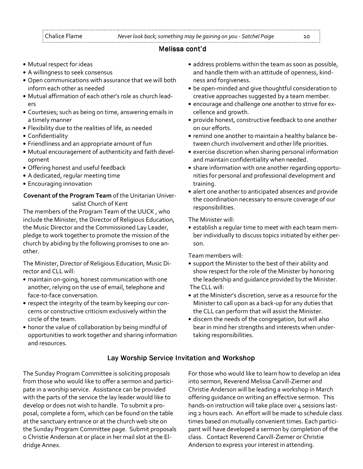# Melissa cont'd Melissa cont'd

- Mutual respect for ideas
- A willingness to seek consensus
- Open communications with assurance that we will both inform each other as needed
- Mutual affirmation of each other's role as church leaders
- Courtesies; such as being on time, answering emails in a timely manner
- Flexibility due to the realities of life, as needed
- Confidentiality
- Friendliness and an appropriate amount of fun
- Mutual encouragement of authenticity and faith development
- Offering honest and useful feedback
- A dedicated, regular meeting time
- Encouraging innovation

Covenant of the Program Team of the Unitarian Universalist Church of Kent

The members of the Program Team of the UUCK , who include the Minister, the Director of Religious Education, the Music Director and the Commissioned Lay Leader, pledge to work together to promote the mission of the church by abiding by the following promises to one another.

The Minister, Director of Religious Education, Music Director and CLL will:

- maintain on-going, honest communication with one another, relying on the use of email, telephone and face-to-face conversation.
- respect the integrity of the team by keeping our concerns or constructive criticism exclusively within the circle of the team.
- honor the value of collaboration by being mindful of opportunities to work together and sharing information and resources.
- address problems within the team as soon as possible, and handle them with an attitude of openness, kindness and forgiveness.
- be open-minded and give thoughtful consideration to creative approaches suggested by a team member.
- encourage and challenge one another to strive for excellence and growth.
- provide honest, constructive feedback to one another on our efforts.
- remind one another to maintain a healthy balance between church involvement and other life priorities.
- exercise discretion when sharing personal information and maintain confidentiality when needed.
- share information with one another regarding opportunities for personal and professional development and training.
- alert one another to anticipated absences and provide the coordination necessary to ensure coverage of our responsibilities.

The Minister will:

• establish a regular time to meet with each team member individually to discuss topics initiated by either person.

Team members will:

- support the Minister to the best of their ability and show respect for the role of the Minister by honoring the leadership and guidance provided by the Minister. The CLL will:
- at the Minister's discretion, serve as a resource for the Minister to call upon as a back-up for any duties that the CLL can perform that will assist the Minister.
- discern the needs of the congregation, but will also bear in mind her strengths and interests when undertaking responsibilities.

# Lay Worship Service Invitation and Workshop

The Sunday Program Committee is soliciting proposals from those who would like to offer a sermon and participate in a worship service. Assistance can be provided with the parts of the service the lay leader would like to develop or does not wish to handle. To submit a proposal, complete a form, which can be found on the table at the sanctuary entrance or at the church web site on the Sunday Program Committee page. Submit proposals o Christie Anderson at or place in her mail slot at the Eldridge Annex.

For those who would like to learn how to develop an idea into sermon, Reverend Melissa Carvill-Ziemer and Christie Anderson will be leading a workshop in March offering guidance on writing an effective sermon. This hands-on instruction will take place over 4 sessions lasting 2 hours each. An effort will be made to schedule class times based on mutually convenient times. Each participant will have developed a sermon by completion of the class. Contact Reverend Carvill-Ziemer or Christie Anderson to express your interest in attending.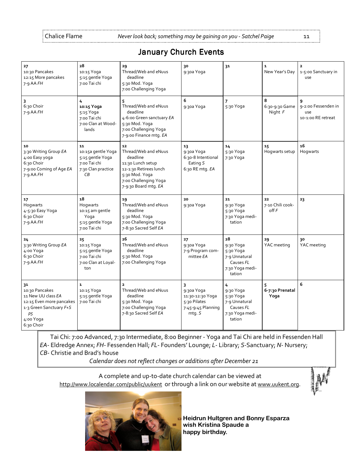# January Church Events

| 27<br>10:30 Pancakes<br>12:15 More pancakes<br>$7-9$ AA $FH$                                                                                   | 28<br>10:15 Yoga<br>5:15 gentle Yoga<br>7:00 Tai chi                                     | 29<br>Thread/Web and eNuus<br>deadline<br>5:30 Mod. Yoga<br>7:00 Challenging Yoga                                                                        | 30<br>9:30a Yoga                                                               | 31                                                                                      | $\mathbf{1}$<br>New Year's Day  | $\mathbf{z}$<br>1-5:00 Sanctuary in<br>use       |
|------------------------------------------------------------------------------------------------------------------------------------------------|------------------------------------------------------------------------------------------|----------------------------------------------------------------------------------------------------------------------------------------------------------|--------------------------------------------------------------------------------|-----------------------------------------------------------------------------------------|---------------------------------|--------------------------------------------------|
| 3<br>6:30 Choir<br>$7 - 9$ AA $FH$                                                                                                             | 4<br>10:15 Yoga<br>5:15 Yoga<br>7:00 Tai chi<br>7:00 Clan at Wood-<br>lands              | 5<br>Thread/Web and eNuus<br>deadline<br>4-6:00 Green sanctuary EA<br>5:30 Mod. Yoga<br>7:00 Challenging Yoga<br>7-9:00 Finance mtg. EA                  | 6<br>9:30a Yoga                                                                | 7<br>5:30 Yoga                                                                          | 8<br>6:30-9:30 Game<br>Night F  | 9-2:00 Fessenden in<br>use<br>10-1:00 RE retreat |
| 10<br>3:30 Writing Group EA<br>4:00 Easy yoga<br>6:30 Choir<br>7-9:00 Coming of Age EA<br>$7 - 9$ AA $FH$                                      | 11<br>10:15a gentle Yoga<br>5:15 gentle Yoga<br>7:00 Tai chi<br>7:30 Clan practice<br>CВ | 12<br>Thread/Web and eNuus<br>deadline<br>11:30 Lunch setup<br>12-1:30 Retirees lunch<br>5:30 Mod. Yoga<br>7:00 Challenging Yoga<br>7-9:30 Board mtg. EA | 13<br>9:30a Yoga<br>6:30-8 Intentional<br>Eating S<br>6:30 RE mtg. EA          | 14<br>5:30 Yoga<br>7:30 Yoga                                                            | 15<br>Hogwarts setup            | 16<br>Hogwarts                                   |
| 17<br>Hogwarts<br>4-5:30 Easy Yoga<br>6:30 Choir<br>7-9 AA FH                                                                                  | 18<br>Hogwarts<br>10:15 am gentle<br>Yoga<br>5:15 gentle Yoga<br>7:00 Tai chi            | 19<br>Thread/Web and eNuus<br>deadline<br>5:30 Mod. Yoga<br>7:00 Challenging Yoga<br>7-8:30 Sacred Self EA                                               | 20<br>9:30a Yoga                                                               | 21<br>9:30 Yoga<br>5:30 Yoga<br>7:30 Yoga medi-<br>tation                               | 22<br>7-10 Chili cook-<br>off F | 23                                               |
| 24<br>3:30 Writing Group EA<br>4:00 Yoga<br>6:30 Choir<br>7-9 AA FH                                                                            | 25<br>10:15 Yoga<br>5:15 gentle Yoga<br>7:00 Tai chi<br>7:00 Clan at Loyal-<br>ton       | 26<br>Thread/Web and eNuus<br>deadline<br>5:30 Mod. Yoga<br>7:00 Challenging Yoga                                                                        | 27<br>9:30a Yoga<br>7-9 Program com-<br>mittee EA                              | 28<br>9:30 Yoga<br>5:30 Yoga<br>7-9 Unnatural<br>Causes FL<br>7:30 Yoga medi-<br>tation | 29<br>YAC meeting               | 30<br>YAC meeting                                |
| 31<br>10:30 Pancakes<br>11 New UU class EA<br>12:15 Even more pancakes<br>1-3 Green Sanctuary F+S<br>p <sub>5</sub><br>4:00 Yoga<br>6:30 Choir | $\mathbf{1}$<br>10:15 Yoga<br>5:15 gentle Yoga<br>7:00 Tai chi                           | $\overline{\mathbf{2}}$<br>Thread/Web and eNuus<br>deadline<br>5:30 Mod. Yoga<br>7:00 Challenging Yoga<br>7-8:30 Sacred Self EA                          | 9:30a Yoga<br>11:30-12:30 Yoga<br>5:30 Pilates<br>7:45-9:45 Planning<br>mtg. S | 4<br>9:30 Yoga<br>5:30 Yoga<br>7-9 Unnatural<br>Causes FL<br>7:30 Yoga medi-<br>tation  | 6-7:30 Prenatal<br>Yoga         | 6                                                |

Tai Chi: 7:00 Advanced, 7:30 Intermediate, 8:00 Beginner - Yoga and Tai Chi are held in Fessenden Hall EA- Eldredge Annex; FH- Fessenden Hall; FL- Founders' Lounge; L- Library; S-Sanctuary; N- Nursery; CB- Christie and Brad's house

Calendar does not reflect changes or additions after December 21

A complete and up-to-date church calendar can be viewed at http://www.localendar.com/public/uukent or through a link on our website at www.uukent.org.

 $\mathcal{W}$ 



Heidrun Hultgren and Bonny Esparza wish Kristina Spaude a happy birthday.